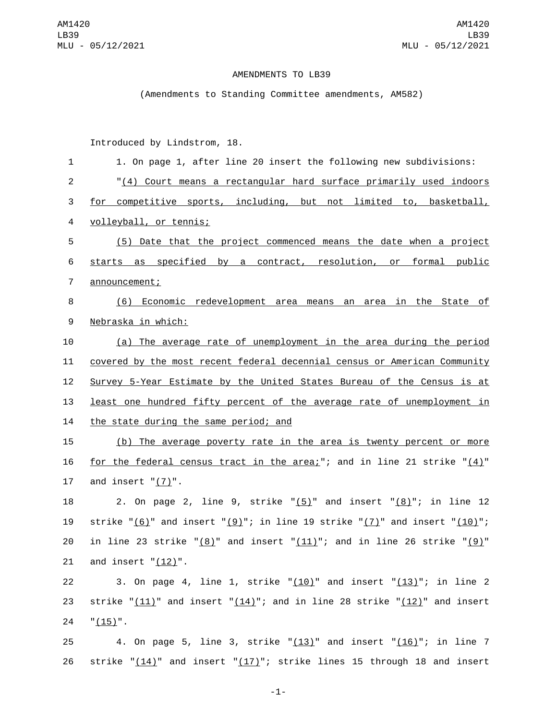## AMENDMENTS TO LB39

(Amendments to Standing Committee amendments, AM582)

Introduced by Lindstrom, 18.

| $\mathbf{1}$   | 1. On page 1, after line 20 insert the following new subdivisions:                        |
|----------------|-------------------------------------------------------------------------------------------|
| $\overline{2}$ | "(4) Court means a rectangular hard surface primarily used indoors                        |
| 3              | for competitive sports, including, but not limited to, basketball,                        |
| 4              | volleyball, or tennis;                                                                    |
| 5              | (5) Date that the project commenced means the date when a project                         |
| 6              | starts as specified by a contract, resolution, or formal public                           |
| $\overline{7}$ | announcement;                                                                             |
| 8              | (6) Economic redevelopment area means an area in the State of                             |
| 9              | Nebraska in which:                                                                        |
| 10             | (a) The average rate of unemployment in the area during the period                        |
| 11             | covered by the most recent federal decennial census or American Community                 |
| 12             | Survey 5-Year Estimate by the United States Bureau of the Census is at                    |
| 13             | least one hundred fifty percent of the average rate of unemployment in                    |
| 14             | the state during the same period; and                                                     |
| 15             | (b) The average poverty rate in the area is twenty percent or more                        |
| 16             | <u>for the federal census tract in the area;</u> "; and in line 21 strike " $(4)$ "       |
| 17             | and insert $"(7)"$ .                                                                      |
| 18             | 2. On page 2, line 9, strike " $(5)$ " and insert " $(8)$ "; in line 12                   |
| 19             | strike " $(6)$ " and insert " $(9)$ "; in line 19 strike " $(7)$ " and insert " $(10)$ "; |
| 20             | in line 23 strike " $(8)$ " and insert " $(11)$ "; and in line 26 strike " $(9)$ "        |
| 21             | and insert $"(\underline{12})"$                                                           |
| 22             | 3. On page 4, line 1, strike " $(10)$ " and insert " $(13)$ "; in line 2                  |
| 23             | strike " $(11)$ " and insert " $(14)$ "; and in line 28 strike " $(12)$ " and insert      |
| 24             | $"(15)"$ .                                                                                |
| 25             | 4. On page 5, line 3, strike " $(13)$ " and insert " $(16)$ "; in line 7                  |
| 26             | strike " $(14)$ " and insert " $(17)$ "; strike lines 15 through 18 and insert            |

-1-